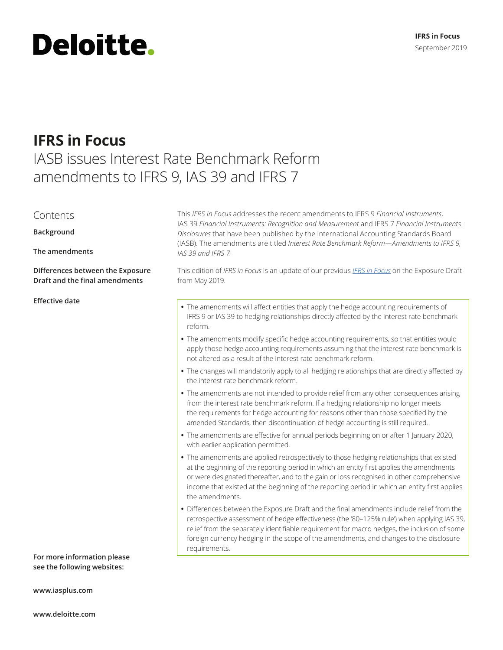# **Deloitte.**

## **IFRS in Focus**

### IASB issues Interest Rate Benchmark Reform amendments to IFRS 9, IAS 39 and IFRS 7

#### Contents

**Background**

**The amendments**

**Differences between the Exposure Draft and the final amendments**

**For more information please see the following websites:**

**[www.iasplus.com](http://www.iasplus.com )**

**[www.deloitte.com](http://www.deloitte.com)**

This *IFRS in Focus* addresses the recent amendments to IFRS 9 *Financial Instruments*, IAS 39 *Financial Instruments: Recognition and Measurement* and IFRS 7 *Financial Instruments*: *Disclosures* that have been published by the International Accounting Standards Board (IASB). The amendments are titled *Interest Rate Benchmark Reform—Amendments to IFRS 9, IAS 39 and IFRS 7*.

This edition of *IFRS in Focus* is an update of our previous *[IFRS in Focus](https://www.iasplus.com/en/publications/global/ifrs-in-focus/2019/ibor)* on the Exposure Draft from May 2019.

- **Effective date** *•* The amendments will affect entities that apply the hedge accounting requirements of IFRS 9 or IAS 39 to hedging relationships directly affected by the interest rate benchmark reform.
	- **•** The amendments modify specific hedge accounting requirements, so that entities would apply those hedge accounting requirements assuming that the interest rate benchmark is not altered as a result of the interest rate benchmark reform.
	- **•** The changes will mandatorily apply to all hedging relationships that are directly affected by the interest rate benchmark reform.
	- **•** The amendments are not intended to provide relief from any other consequences arising from the interest rate benchmark reform. If a hedging relationship no longer meets the requirements for hedge accounting for reasons other than those specified by the amended Standards, then discontinuation of hedge accounting is still required.
	- **•** The amendments are effective for annual periods beginning on or after 1 January 2020, with earlier application permitted.
	- **•** The amendments are applied retrospectively to those hedging relationships that existed at the beginning of the reporting period in which an entity first applies the amendments or were designated thereafter, and to the gain or loss recognised in other comprehensive income that existed at the beginning of the reporting period in which an entity first applies the amendments.
	- **•** Differences between the Exposure Draft and the final amendments include relief from the retrospective assessment of hedge effectiveness (the '80–125% rule') when applying IAS 39, relief from the separately identifiable requirement for macro hedges, the inclusion of some foreign currency hedging in the scope of the amendments, and changes to the disclosure requirements.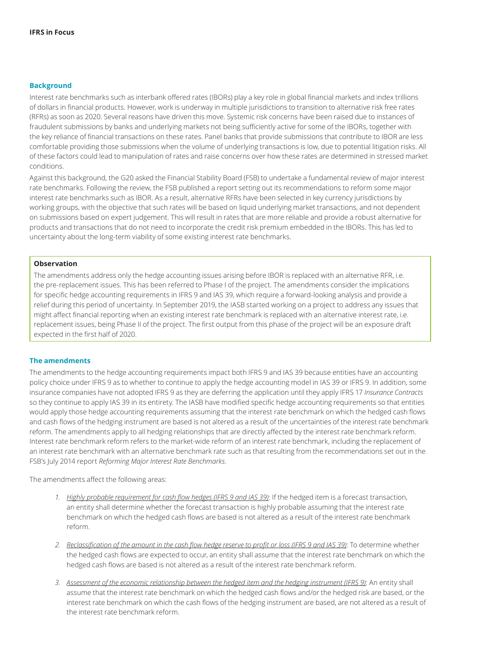#### **Background**

Interest rate benchmarks such as interbank offered rates (IBORs) play a key role in global financial markets and index trillions of dollars in financial products. However, work is underway in multiple jurisdictions to transition to alternative risk free rates (RFRs) as soon as 2020. Several reasons have driven this move. Systemic risk concerns have been raised due to instances of fraudulent submissions by banks and underlying markets not being sufficiently active for some of the IBORs, together with the key reliance of financial transactions on these rates. Panel banks that provide submissions that contribute to IBOR are less comfortable providing those submissions when the volume of underlying transactions is low, due to potential litigation risks. All of these factors could lead to manipulation of rates and raise concerns over how these rates are determined in stressed market conditions.

Against this background, the G20 asked the Financial Stability Board (FSB) to undertake a fundamental review of major interest rate benchmarks. Following the review, the FSB published a report setting out its recommendations to reform some major interest rate benchmarks such as IBOR. As a result, alternative RFRs have been selected in key currency jurisdictions by working groups, with the objective that such rates will be based on liquid underlying market transactions, and not dependent on submissions based on expert judgement. This will result in rates that are more reliable and provide a robust alternative for products and transactions that do not need to incorporate the credit risk premium embedded in the IBORs. This has led to uncertainty about the long-term viability of some existing interest rate benchmarks.

#### **Observation**

The amendments address only the hedge accounting issues arising before IBOR is replaced with an alternative RFR, i.e. the pre-replacement issues. This has been referred to Phase I of the project. The amendments consider the implications for specific hedge accounting requirements in IFRS 9 and IAS 39, which require a forward-looking analysis and provide a relief during this period of uncertainty. In September 2019, the IASB started working on a project to address any issues that might affect financial reporting when an existing interest rate benchmark is replaced with an alternative interest rate, i.e. replacement issues, being Phase II of the project. The first output from this phase of the project will be an exposure draft expected in the first half of 2020.

#### **The amendments**

The amendments to the hedge accounting requirements impact both IFRS 9 and IAS 39 because entities have an accounting policy choice under IFRS 9 as to whether to continue to apply the hedge accounting model in IAS 39 or IFRS 9. In addition, some insurance companies have not adopted IFRS 9 as they are deferring the application until they apply IFRS 17 *Insurance Contracts* so they continue to apply IAS 39 in its entirety. The IASB have modified specific hedge accounting requirements so that entities would apply those hedge accounting requirements assuming that the interest rate benchmark on which the hedged cash flows and cash flows of the hedging instrument are based is not altered as a result of the uncertainties of the interest rate benchmark reform. The amendments apply to all hedging relationships that are directly affected by the interest rate benchmark reform. Interest rate benchmark reform refers to the market-wide reform of an interest rate benchmark, including the replacement of an interest rate benchmark with an alternative benchmark rate such as that resulting from the recommendations set out in the FSB's July 2014 report *Reforming Major Interest Rate Benchmarks*.

The amendments affect the following areas:

- *1. Highly probable requirement for cash flow hedges (IFRS 9 and IAS 39)*: If the hedged item is a forecast transaction, an entity shall determine whether the forecast transaction is highly probable assuming that the interest rate benchmark on which the hedged cash flows are based is not altered as a result of the interest rate benchmark reform.
- *2. Reclassification of the amount in the cash flow hedge reserve to profit or loss (IFRS 9 and IAS 39)*: To determine whether the hedged cash flows are expected to occur, an entity shall assume that the interest rate benchmark on which the hedged cash flows are based is not altered as a result of the interest rate benchmark reform.
- *3. Assessment of the economic relationship between the hedged item and the hedging instrument (IFRS 9)*: An entity shall assume that the interest rate benchmark on which the hedged cash flows and/or the hedged risk are based, or the interest rate benchmark on which the cash flows of the hedging instrument are based, are not altered as a result of the interest rate benchmark reform.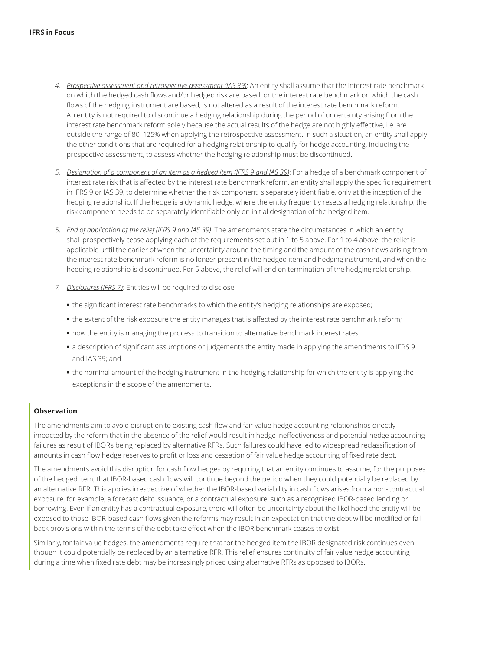- *4. Prospective assessment and retrospective assessment (IAS 39)*: An entity shall assume that the interest rate benchmark on which the hedged cash flows and/or hedged risk are based, or the interest rate benchmark on which the cash flows of the hedging instrument are based, is not altered as a result of the interest rate benchmark reform. An entity is not required to discontinue a hedging relationship during the period of uncertainty arising from the interest rate benchmark reform solely because the actual results of the hedge are not highly effective, i.e. are outside the range of 80–125% when applying the retrospective assessment. In such a situation, an entity shall apply the other conditions that are required for a hedging relationship to qualify for hedge accounting, including the prospective assessment, to assess whether the hedging relationship must be discontinued.
- *5. Designation of a component of an item as a hedged item (IFRS 9 and IAS 39)*: For a hedge of a benchmark component of interest rate risk that is affected by the interest rate benchmark reform, an entity shall apply the specific requirement in IFRS 9 or IAS 39, to determine whether the risk component is separately identifiable, only at the inception of the hedging relationship. If the hedge is a dynamic hedge, where the entity frequently resets a hedging relationship, the risk component needs to be separately identifiable only on initial designation of the hedged item.
- *6. End of application of the relief (IFRS 9 and IAS 39)*: The amendments state the circumstances in which an entity shall prospectively cease applying each of the requirements set out in 1 to 5 above. For 1 to 4 above, the relief is applicable until the earlier of when the uncertainty around the timing and the amount of the cash flows arising from the interest rate benchmark reform is no longer present in the hedged item and hedging instrument, and when the hedging relationship is discontinued. For 5 above, the relief will end on termination of the hedging relationship.
- *7. Disclosures (IFRS 7)*: Entities will be required to disclose:
	- **•** the significant interest rate benchmarks to which the entity's hedging relationships are exposed;
	- **•** the extent of the risk exposure the entity manages that is affected by the interest rate benchmark reform;
	- **•** how the entity is managing the process to transition to alternative benchmark interest rates;
	- **•** a description of significant assumptions or judgements the entity made in applying the amendments to IFRS 9 and IAS 39; and
	- **•** the nominal amount of the hedging instrument in the hedging relationship for which the entity is applying the exceptions in the scope of the amendments.

#### **Observation**

The amendments aim to avoid disruption to existing cash flow and fair value hedge accounting relationships directly impacted by the reform that in the absence of the relief would result in hedge ineffectiveness and potential hedge accounting failures as result of IBORs being replaced by alternative RFRs. Such failures could have led to widespread reclassification of amounts in cash flow hedge reserves to profit or loss and cessation of fair value hedge accounting of fixed rate debt.

The amendments avoid this disruption for cash flow hedges by requiring that an entity continues to assume, for the purposes of the hedged item, that IBOR-based cash flows will continue beyond the period when they could potentially be replaced by an alternative RFR. This applies irrespective of whether the IBOR-based variability in cash flows arises from a non-contractual exposure, for example, a forecast debt issuance, or a contractual exposure, such as a recognised IBOR-based lending or borrowing. Even if an entity has a contractual exposure, there will often be uncertainty about the likelihood the entity will be exposed to those IBOR-based cash flows given the reforms may result in an expectation that the debt will be modified or fallback provisions within the terms of the debt take effect when the IBOR benchmark ceases to exist.

Similarly, for fair value hedges, the amendments require that for the hedged item the IBOR designated risk continues even though it could potentially be replaced by an alternative RFR. This relief ensures continuity of fair value hedge accounting during a time when fixed rate debt may be increasingly priced using alternative RFRs as opposed to IBORs.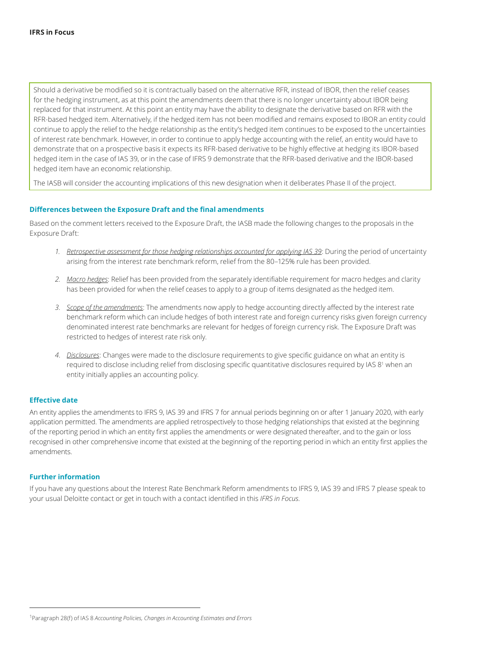Should a derivative be modified so it is contractually based on the alternative RFR, instead of IBOR, then the relief ceases for the hedging instrument, as at this point the amendments deem that there is no longer uncertainty about IBOR being replaced for that instrument. At this point an entity may have the ability to designate the derivative based on RFR with the RFR-based hedged item. Alternatively, if the hedged item has not been modified and remains exposed to IBOR an entity could continue to apply the relief to the hedge relationship as the entity's hedged item continues to be exposed to the uncertainties of interest rate benchmark. However, in order to continue to apply hedge accounting with the relief, an entity would have to demonstrate that on a prospective basis it expects its RFR-based derivative to be highly effective at hedging its IBOR-based hedged item in the case of IAS 39, or in the case of IFRS 9 demonstrate that the RFR-based derivative and the IBOR-based hedged item have an economic relationship.

The IASB will consider the accounting implications of this new designation when it deliberates Phase II of the project.

#### **Differences between the Exposure Draft and the final amendments**

Based on the comment letters received to the Exposure Draft, the IASB made the following changes to the proposals in the Exposure Draft:

- *1. Retrospective assessment for those hedging relationships accounted for applying IAS 39*: During the period of uncertainty arising from the interest rate benchmark reform, relief from the 80–125% rule has been provided.
- *2. Macro hedges*: Relief has been provided from the separately identifiable requirement for macro hedges and clarity has been provided for when the relief ceases to apply to a group of items designated as the hedged item.
- *3. Scope of the amendments*: The amendments now apply to hedge accounting directly affected by the interest rate benchmark reform which can include hedges of both interest rate and foreign currency risks given foreign currency denominated interest rate benchmarks are relevant for hedges of foreign currency risk. The Exposure Draft was restricted to hedges of interest rate risk only.
- *4. Disclosures*: Changes were made to the disclosure requirements to give specific guidance on what an entity is required to disclose including relief from disclosing specific quantitative disclosures required by IAS 8<sup>1</sup> when an entity initially applies an accounting policy.

#### **Effective date**

An entity applies the amendments to IFRS 9, IAS 39 and IFRS 7 for annual periods beginning on or after 1 January 2020, with early application permitted. The amendments are applied retrospectively to those hedging relationships that existed at the beginning of the reporting period in which an entity first applies the amendments or were designated thereafter, and to the gain or loss recognised in other comprehensive income that existed at the beginning of the reporting period in which an entity first applies the amendments.

#### **Further information**

If you have any questions about the Interest Rate Benchmark Reform amendments to IFRS 9, IAS 39 and IFRS 7 please speak to your usual Deloitte contact or get in touch with a contact identified in this *IFRS in Focus*.

<sup>1</sup> Paragraph 28(f) of IAS 8 *Accounting Policies, Changes in Accounting Estimates and Errors*